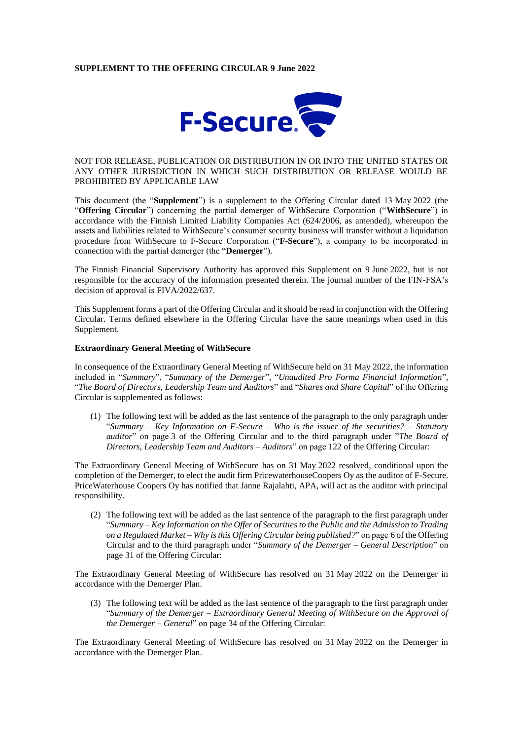## **SUPPLEMENT TO THE OFFERING CIRCULAR 9 June 2022**



## NOT FOR RELEASE, PUBLICATION OR DISTRIBUTION IN OR INTO THE UNITED STATES OR ANY OTHER JURISDICTION IN WHICH SUCH DISTRIBUTION OR RELEASE WOULD BE PROHIBITED BY APPLICABLE LAW

This document (the "**Supplement**") is a supplement to the Offering Circular dated 13 May 2022 (the "**Offering Circular**") concerning the partial demerger of WithSecure Corporation ("**WithSecure**") in accordance with the Finnish Limited Liability Companies Act (624/2006, as amended), whereupon the assets and liabilities related to WithSecure's consumer security business will transfer without a liquidation procedure from WithSecure to F-Secure Corporation ("**F-Secure**"), a company to be incorporated in connection with the partial demerger (the "**Demerger**").

The Finnish Financial Supervisory Authority has approved this Supplement on 9 June 2022, but is not responsible for the accuracy of the information presented therein. The journal number of the FIN-FSA's decision of approval is FIVA/2022/637.

This Supplement forms a part of the Offering Circular and it should be read in conjunction with the Offering Circular. Terms defined elsewhere in the Offering Circular have the same meanings when used in this Supplement.

#### **Extraordinary General Meeting of WithSecure**

In consequence of the Extraordinary General Meeting of WithSecure held on 31 May 2022, the information included in "*Summary*", "*Summary of the Demerger*", "*Unaudited Pro Forma Financial Information*", "*The Board of Directors, Leadership Team and Auditors*" and "*Shares and Share Capital*" of the Offering Circular is supplemented as follows:

(1) The following text will be added as the last sentence of the paragraph to the only paragraph under "*Summary – Key Information on F-Secure – Who is the issuer of the securities? – Statutory auditor*" on page 3 of the Offering Circular and to the third paragraph under "*The Board of Directors, Leadership Team and Auditors* – *Auditors*" on page 122 of the Offering Circular:

The Extraordinary General Meeting of WithSecure has on 31 May 2022 resolved, conditional upon the completion of the Demerger, to elect the audit firm PricewaterhouseCoopers Oy as the auditor of F-Secure. PriceWaterhouse Coopers Oy has notified that Janne Rajalahti, APA, will act as the auditor with principal responsibility.

(2) The following text will be added as the last sentence of the paragraph to the first paragraph under "*Summary – Key Information on the Offer of Securities to the Public and the Admission to Trading on a Regulated Market – Why is this Offering Circular being published?*" on page 6 of the Offering Circular and to the third paragraph under "*Summary of the Demerger – General Description*" on page 31 of the Offering Circular:

The Extraordinary General Meeting of WithSecure has resolved on 31 May 2022 on the Demerger in accordance with the Demerger Plan.

(3) The following text will be added as the last sentence of the paragraph to the first paragraph under "*Summary of the Demerger – Extraordinary General Meeting of WithSecure on the Approval of the Demerger – General*" on page 34 of the Offering Circular:

The Extraordinary General Meeting of WithSecure has resolved on 31 May 2022 on the Demerger in accordance with the Demerger Plan.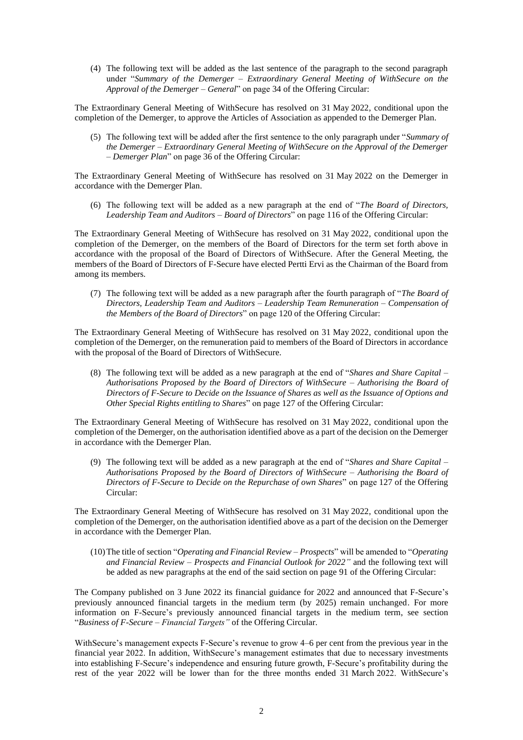(4) The following text will be added as the last sentence of the paragraph to the second paragraph under "*Summary of the Demerger – Extraordinary General Meeting of WithSecure on the Approval of the Demerger – General*" on page 34 of the Offering Circular:

The Extraordinary General Meeting of WithSecure has resolved on 31 May 2022, conditional upon the completion of the Demerger, to approve the Articles of Association as appended to the Demerger Plan.

(5) The following text will be added after the first sentence to the only paragraph under "*Summary of the Demerger – Extraordinary General Meeting of WithSecure on the Approval of the Demerger – Demerger Plan*" on page 36 of the Offering Circular:

The Extraordinary General Meeting of WithSecure has resolved on 31 May 2022 on the Demerger in accordance with the Demerger Plan.

(6) The following text will be added as a new paragraph at the end of "*The Board of Directors, Leadership Team and Auditors – Board of Directors*" on page 116 of the Offering Circular:

The Extraordinary General Meeting of WithSecure has resolved on 31 May 2022, conditional upon the completion of the Demerger, on the members of the Board of Directors for the term set forth above in accordance with the proposal of the Board of Directors of WithSecure. After the General Meeting, the members of the Board of Directors of F-Secure have elected Pertti Ervi as the Chairman of the Board from among its members.

(7) The following text will be added as a new paragraph after the fourth paragraph of "*The Board of Directors, Leadership Team and Auditors* – *Leadership Team Remuneration* – *Compensation of the Members of the Board of Directors*" on page 120 of the Offering Circular:

The Extraordinary General Meeting of WithSecure has resolved on 31 May 2022, conditional upon the completion of the Demerger, on the remuneration paid to members of the Board of Directors in accordance with the proposal of the Board of Directors of WithSecure.

(8) The following text will be added as a new paragraph at the end of "*Shares and Share Capital – Authorisations Proposed by the Board of Directors of WithSecure – Authorising the Board of Directors of F-Secure to Decide on the Issuance of Shares as well as the Issuance of Options and Other Special Rights entitling to Shares*" on page 127 of the Offering Circular:

The Extraordinary General Meeting of WithSecure has resolved on 31 May 2022, conditional upon the completion of the Demerger, on the authorisation identified above as a part of the decision on the Demerger in accordance with the Demerger Plan.

(9) The following text will be added as a new paragraph at the end of "*Shares and Share Capital – Authorisations Proposed by the Board of Directors of WithSecure – Authorising the Board of Directors of F-Secure to Decide on the Repurchase of own Shares*" on page 127 of the Offering Circular:

The Extraordinary General Meeting of WithSecure has resolved on 31 May 2022, conditional upon the completion of the Demerger, on the authorisation identified above as a part of the decision on the Demerger in accordance with the Demerger Plan.

(10)The title of section "*Operating and Financial Review – Prospects*" will be amended to "*Operating and Financial Review – Prospects and Financial Outlook for 2022"* and the following text will be added as new paragraphs at the end of the said section on page 91 of the Offering Circular:

The Company published on 3 June 2022 its financial guidance for 2022 and announced that F-Secure's previously announced financial targets in the medium term (by 2025) remain unchanged. For more information on F-Secure's previously announced financial targets in the medium term, see section "*Business of F-Secure – Financial Targets"* of the Offering Circular*.*

WithSecure's management expects F-Secure's revenue to grow 4–6 per cent from the previous year in the financial year 2022. In addition, WithSecure's management estimates that due to necessary investments into establishing F-Secure's independence and ensuring future growth, F-Secure's profitability during the rest of the year 2022 will be lower than for the three months ended 31 March 2022. WithSecure's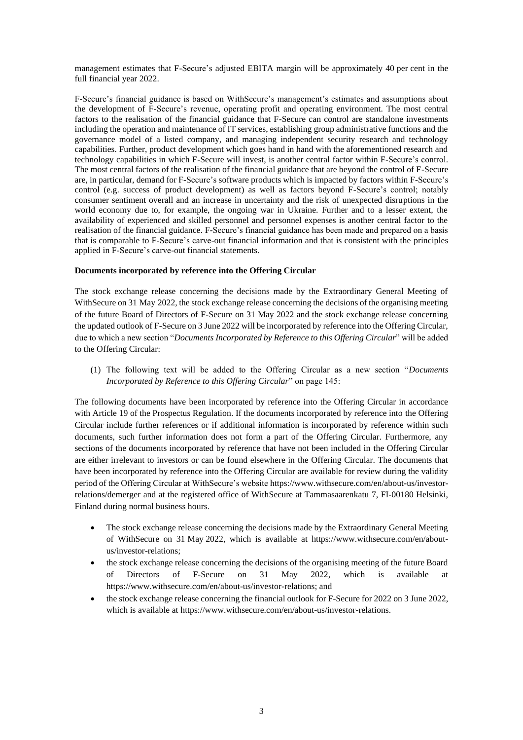management estimates that F-Secure's adjusted EBITA margin will be approximately 40 per cent in the full financial year 2022.

F-Secure's financial guidance is based on WithSecure's management's estimates and assumptions about the development of F-Secure's revenue, operating profit and operating environment. The most central factors to the realisation of the financial guidance that F-Secure can control are standalone investments including the operation and maintenance of IT services, establishing group administrative functions and the governance model of a listed company, and managing independent security research and technology capabilities. Further, product development which goes hand in hand with the aforementioned research and technology capabilities in which F-Secure will invest, is another central factor within F-Secure's control. The most central factors of the realisation of the financial guidance that are beyond the control of F-Secure are, in particular, demand for F-Secure's software products which is impacted by factors within F-Secure's control (e.g. success of product development) as well as factors beyond F-Secure's control; notably consumer sentiment overall and an increase in uncertainty and the risk of unexpected disruptions in the world economy due to, for example, the ongoing war in Ukraine. Further and to a lesser extent, the availability of experienced and skilled personnel and personnel expenses is another central factor to the realisation of the financial guidance. F-Secure's financial guidance has been made and prepared on a basis that is comparable to F-Secure's carve-out financial information and that is consistent with the principles applied in F-Secure's carve-out financial statements.

# **Documents incorporated by reference into the Offering Circular**

The stock exchange release concerning the decisions made by the Extraordinary General Meeting of WithSecure on 31 May 2022, the stock exchange release concerning the decisions of the organising meeting of the future Board of Directors of F-Secure on 31 May 2022 and the stock exchange release concerning the updated outlook of F-Secure on 3 June 2022 will be incorporated by reference into the Offering Circular, due to which a new section "*Documents Incorporated by Reference to this Offering Circular*" will be added to the Offering Circular:

(1) The following text will be added to the Offering Circular as a new section "*Documents Incorporated by Reference to this Offering Circular*" on page 145:

The following documents have been incorporated by reference into the Offering Circular in accordance with Article 19 of the Prospectus Regulation. If the documents incorporated by reference into the Offering Circular include further references or if additional information is incorporated by reference within such documents, such further information does not form a part of the Offering Circular. Furthermore, any sections of the documents incorporated by reference that have not been included in the Offering Circular are either irrelevant to investors or can be found elsewhere in the Offering Circular. The documents that have been incorporated by reference into the Offering Circular are available for review during the validity period of the Offering Circular at WithSecure's website [https://www.withsecure.com/en/about-us/investor](https://www.withsecure.com/en/about-us/investor-relations/demerger)[relations/demerger](https://www.withsecure.com/en/about-us/investor-relations/demerger) and at the registered office of WithSecure at Tammasaarenkatu 7, FI-00180 Helsinki, Finland during normal business hours.

- The stock exchange release concerning the decisions made by the Extraordinary General Meeting of WithSecure on 31 May 2022, which is available at [https://www.withsecure.com/en/about](https://www.withsecure.com/en/about-us/investor-relations)[us/investor-relations;](https://www.withsecure.com/en/about-us/investor-relations)
- the stock exchange release concerning the decisions of the organising meeting of the future Board of Directors of F-Secure on 31 May 2022, which is available at [https://www.withsecure.com/en/about-us/investor-relations;](https://www.withsecure.com/en/about-us/investor-relations) and
- the stock exchange release concerning the financial outlook for F-Secure for 2022 on 3 June 2022, which is available at [https://www.withsecure.com/en/about-us/investor-relations.](https://www.withsecure.com/en/about-us/investor-relations)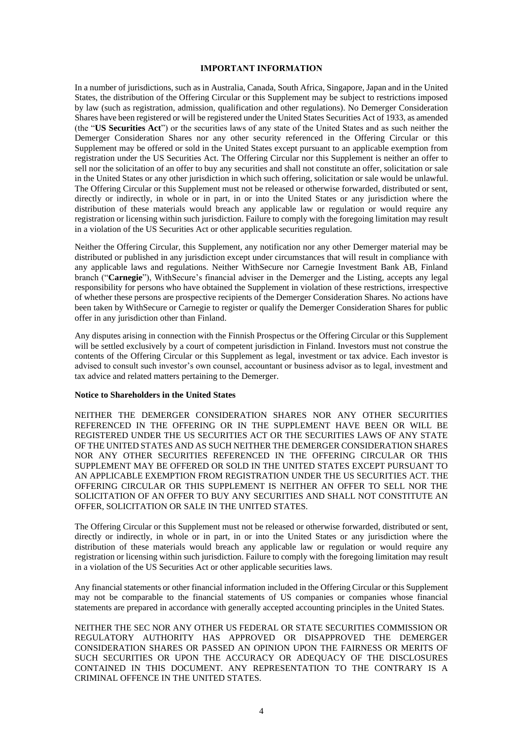#### **IMPORTANT INFORMATION**

In a number of jurisdictions, such as in Australia, Canada, South Africa, Singapore, Japan and in the United States, the distribution of the Offering Circular or this Supplement may be subject to restrictions imposed by law (such as registration, admission, qualification and other regulations). No Demerger Consideration Shares have been registered or will be registered under the United States Securities Act of 1933, as amended (the "**US Securities Act**") or the securities laws of any state of the United States and as such neither the Demerger Consideration Shares nor any other security referenced in the Offering Circular or this Supplement may be offered or sold in the United States except pursuant to an applicable exemption from registration under the US Securities Act. The Offering Circular nor this Supplement is neither an offer to sell nor the solicitation of an offer to buy any securities and shall not constitute an offer, solicitation or sale in the United States or any other jurisdiction in which such offering, solicitation or sale would be unlawful. The Offering Circular or this Supplement must not be released or otherwise forwarded, distributed or sent, directly or indirectly, in whole or in part, in or into the United States or any jurisdiction where the distribution of these materials would breach any applicable law or regulation or would require any registration or licensing within such jurisdiction. Failure to comply with the foregoing limitation may result in a violation of the US Securities Act or other applicable securities regulation.

Neither the Offering Circular, this Supplement, any notification nor any other Demerger material may be distributed or published in any jurisdiction except under circumstances that will result in compliance with any applicable laws and regulations. Neither WithSecure nor Carnegie Investment Bank AB, Finland branch ("**Carnegie**"), WithSecure's financial adviser in the Demerger and the Listing, accepts any legal responsibility for persons who have obtained the Supplement in violation of these restrictions, irrespective of whether these persons are prospective recipients of the Demerger Consideration Shares. No actions have been taken by WithSecure or Carnegie to register or qualify the Demerger Consideration Shares for public offer in any jurisdiction other than Finland.

Any disputes arising in connection with the Finnish Prospectus or the Offering Circular or this Supplement will be settled exclusively by a court of competent jurisdiction in Finland. Investors must not construe the contents of the Offering Circular or this Supplement as legal, investment or tax advice. Each investor is advised to consult such investor's own counsel, accountant or business advisor as to legal, investment and tax advice and related matters pertaining to the Demerger.

### **Notice to Shareholders in the United States**

(1) NEITHER THE DEMERGER CONSIDERATION SHARES NOR ANY OTHER SECURITIES REFERENCED IN THE OFFERING OR IN THE SUPPLEMENT HAVE BEEN OR WILL BE REGISTERED UNDER THE US SECURITIES ACT OR THE SECURITIES LAWS OF ANY STATE OF THE UNITED STATES AND AS SUCH NEITHER THE DEMERGER CONSIDERATION SHARES NOR ANY OTHER SECURITIES REFERENCED IN THE OFFERING CIRCULAR OR THIS SUPPLEMENT MAY BE OFFERED OR SOLD IN THE UNITED STATES EXCEPT PURSUANT TO AN APPLICABLE EXEMPTION FROM REGISTRATION UNDER THE US SECURITIES ACT. THE OFFERING CIRCULAR OR THIS SUPPLEMENT IS NEITHER AN OFFER TO SELL NOR THE SOLICITATION OF AN OFFER TO BUY ANY SECURITIES AND SHALL NOT CONSTITUTE AN OFFER, SOLICITATION OR SALE IN THE UNITED STATES.

The Offering Circular or this Supplement must not be released or otherwise forwarded, distributed or sent, directly or indirectly, in whole or in part, in or into the United States or any jurisdiction where the distribution of these materials would breach any applicable law or regulation or would require any registration or licensing within such jurisdiction. Failure to comply with the foregoing limitation may result in a violation of the US Securities Act or other applicable securities laws.

(5) Any financial statements or other financial information included in the Offering Circular or this Supplement may not be comparable to the financial statements of US companies or companies whose financial statements are prepared in accordance with generally accepted accounting principles in the United States.

(7) NEITHER THE SEC NOR ANY OTHER US FEDERAL OR STATE SECURITIES COMMISSION OR REGULATORY AUTHORITY HAS APPROVED OR DISAPPROVED THE DEMERGER CONSIDERATION SHARES OR PASSED AN OPINION UPON THE FAIRNESS OR MERITS OF SUCH SECURITIES OR UPON THE ACCURACY OR ADEQUACY OF THE DISCLOSURES CONTAINED IN THIS DOCUMENT. ANY REPRESENTATION TO THE CONTRARY IS A CRIMINAL OFFENCE IN THE UNITED STATES.